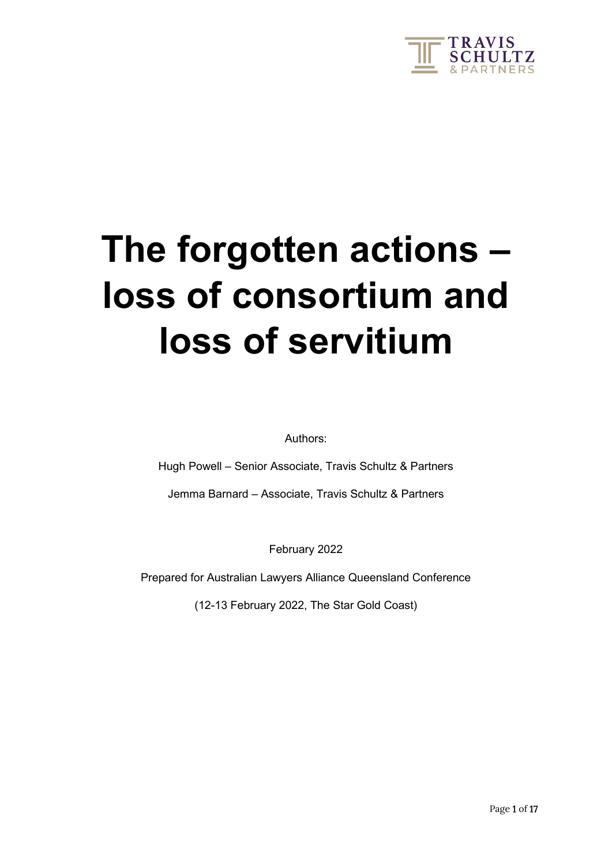

# **The forgotten actions – loss of consortium and loss of servitium**

Authors:

Hugh Powell – Senior Associate, Travis Schultz & Partners

Jemma Barnard – Associate, Travis Schultz & Partners

February 2022

Prepared for Australian Lawyers Alliance Queensland Conference

(12-13 February 2022, The Star Gold Coast)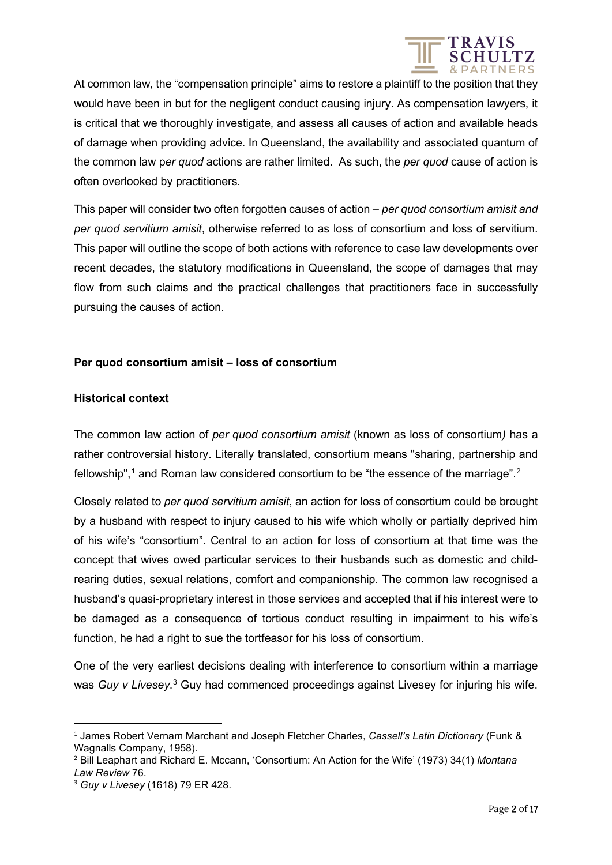

At common law, the "compensation principle" aims to restore a plaintiff to the position that they would have been in but for the negligent conduct causing injury. As compensation lawyers, it is critical that we thoroughly investigate, and assess all causes of action and available heads of damage when providing advice. In Queensland, the availability and associated quantum of the common law p*er quod* actions are rather limited. As such, the *per quod* cause of action is often overlooked by practitioners.

This paper will consider two often forgotten causes of action – *per quod consortium amisit and per quod servitium amisit*, otherwise referred to as loss of consortium and loss of servitium. This paper will outline the scope of both actions with reference to case law developments over recent decades, the statutory modifications in Queensland, the scope of damages that may flow from such claims and the practical challenges that practitioners face in successfully pursuing the causes of action.

### **Per quod consortium amisit – loss of consortium**

### **Historical context**

The common law action of *per quod consortium amisit* (known as loss of consortium*)* has a rather controversial history. Literally translated, consortium means "sharing, partnership and fellowship", $1$  and Roman law considered consortium to be "the essence of the marriage".<sup>[2](#page-1-1)</sup>

Closely related to *per quod servitium amisit*, an action for loss of consortium could be brought by a husband with respect to injury caused to his wife which wholly or partially deprived him of his wife's "consortium". Central to an action for loss of consortium at that time was the concept that wives owed particular services to their husbands such as domestic and childrearing duties, sexual relations, comfort and companionship. The common law recognised a husband's quasi-proprietary interest in those services and accepted that if his interest were to be damaged as a consequence of tortious conduct resulting in impairment to his wife's function, he had a right to sue the tortfeasor for his loss of consortium.

One of the very earliest decisions dealing with interference to consortium within a marriage was *Guy v Livesey*.<sup>[3](#page-1-2)</sup> Guy had commenced proceedings against Livesey for injuring his wife.

<span id="page-1-0"></span><sup>1</sup> James Robert Vernam Marchant and Joseph Fletcher Charles, *Cassell's Latin Dictionary* (Funk & Wagnalls Company, 1958).

<span id="page-1-1"></span><sup>2</sup> Bill Leaphart and Richard E. Mccann, 'Consortium: An Action for the Wife' (1973) 34(1) *Montana Law Review* 76.

<span id="page-1-2"></span><sup>3</sup> *Guy v Livesey* (1618) 79 ER 428.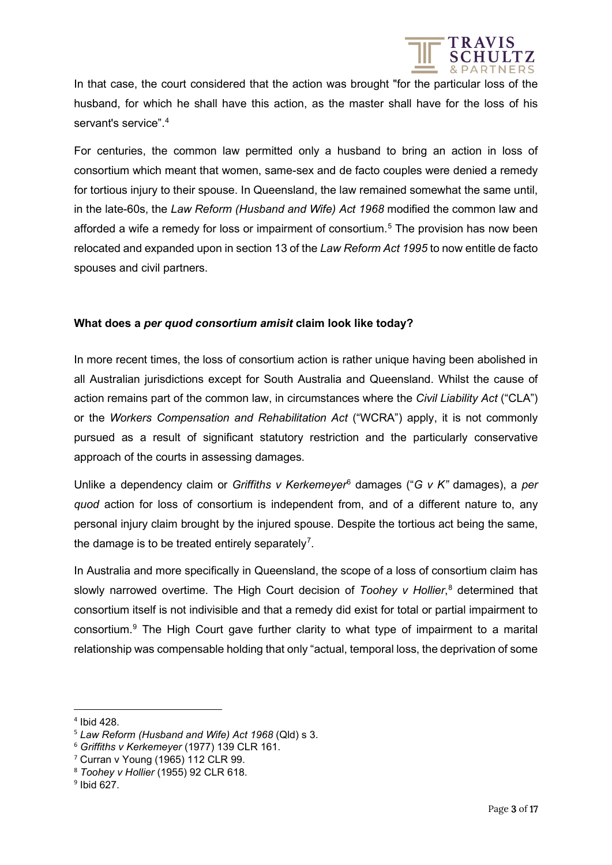

In that case, the court considered that the action was brought "for the particular loss of the husband, for which he shall have this action, as the master shall have for the loss of his servant's service".[4](#page-2-0)

For centuries, the common law permitted only a husband to bring an action in loss of consortium which meant that women, same-sex and de facto couples were denied a remedy for tortious injury to their spouse. In Queensland, the law remained somewhat the same until, in the late-60s, the *Law Reform (Husband and Wife) Act 1968* modified the common law and afforded a wife a remedy for loss or impairment of consortium.<sup>[5](#page-2-1)</sup> The provision has now been relocated and expanded upon in section 13 of the *Law Reform Act 1995* to now entitle de facto spouses and civil partners.

#### **What does a** *per quod consortium amisit* **claim look like today?**

In more recent times, the loss of consortium action is rather unique having been abolished in all Australian jurisdictions except for South Australia and Queensland. Whilst the cause of action remains part of the common law, in circumstances where the *Civil Liability Act* ("CLA") or the *Workers Compensation and Rehabilitation Act* ("WCRA") apply, it is not commonly pursued as a result of significant statutory restriction and the particularly conservative approach of the courts in assessing damages.

Unlike a dependency claim or *Griffiths v Kerkemeyer*[6](#page-2-2) damages ("*G v K"* damages), a *per quod* action for loss of consortium is independent from, and of a different nature to, any personal injury claim brought by the injured spouse. Despite the tortious act being the same, the damage is to be treated entirely separately<sup>[7](#page-2-3)</sup>.

In Australia and more specifically in Queensland, the scope of a loss of consortium claim has slowly narrowed overtime. The High Court decision of *Toohey v Hollier*, [8](#page-2-4) determined that consortium itself is not indivisible and that a remedy did exist for total or partial impairment to consortium.[9](#page-2-5) The High Court gave further clarity to what type of impairment to a marital relationship was compensable holding that only "actual, temporal loss, the deprivation of some

<span id="page-2-0"></span><sup>4</sup> Ibid 428.

<span id="page-2-1"></span><sup>5</sup> *Law Reform (Husband and Wife) Act 1968* (Qld) s 3.

<span id="page-2-2"></span><sup>6</sup> *Griffiths v Kerkemeyer* (1977) 139 CLR 161.

<span id="page-2-3"></span><sup>7</sup> Curran v Young (1965) 112 CLR 99.

<span id="page-2-4"></span><sup>8</sup> *Toohey v Hollier* (1955) 92 CLR 618.

<span id="page-2-5"></span><sup>9</sup> Ibid 627.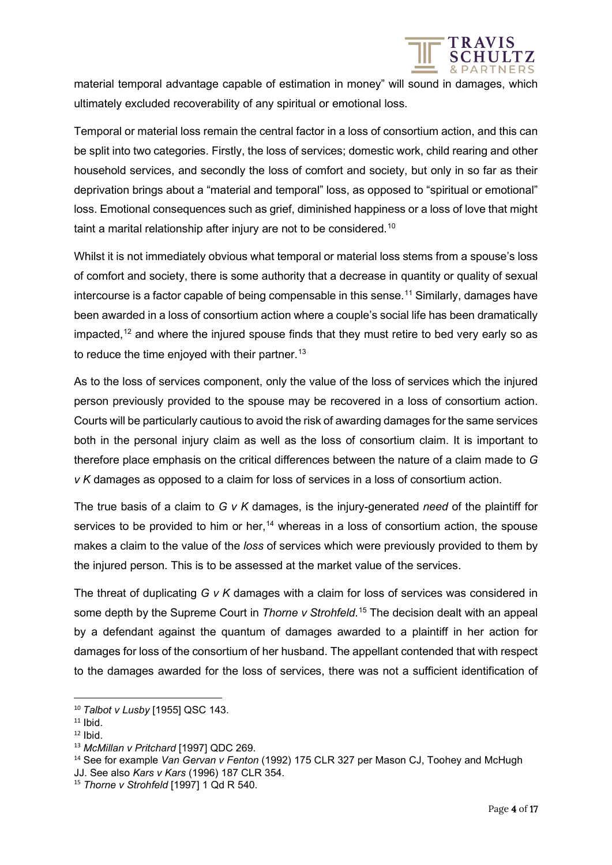

material temporal advantage capable of estimation in money" will sound in damages, which ultimately excluded recoverability of any spiritual or emotional loss.

Temporal or material loss remain the central factor in a loss of consortium action, and this can be split into two categories. Firstly, the loss of services; domestic work, child rearing and other household services, and secondly the loss of comfort and society, but only in so far as their deprivation brings about a "material and temporal" loss, as opposed to "spiritual or emotional" loss. Emotional consequences such as grief, diminished happiness or a loss of love that might taint a marital relationship after injury are not to be considered.<sup>[10](#page-3-0)</sup>

Whilst it is not immediately obvious what temporal or material loss stems from a spouse's loss of comfort and society, there is some authority that a decrease in quantity or quality of sexual intercourse is a factor capable of being compensable in this sense.<sup>[11](#page-3-1)</sup> Similarly, damages have been awarded in a loss of consortium action where a couple's social life has been dramatically impacted,<sup>[12](#page-3-2)</sup> and where the injured spouse finds that they must retire to bed very early so as to reduce the time enjoyed with their partner.<sup>[13](#page-3-3)</sup>

As to the loss of services component, only the value of the loss of services which the injured person previously provided to the spouse may be recovered in a loss of consortium action. Courts will be particularly cautious to avoid the risk of awarding damages for the same services both in the personal injury claim as well as the loss of consortium claim. It is important to therefore place emphasis on the critical differences between the nature of a claim made to *G v K* damages as opposed to a claim for loss of services in a loss of consortium action.

The true basis of a claim to *G v K* damages, is the injury-generated *need* of the plaintiff for services to be provided to him or her,<sup>[14](#page-3-4)</sup> whereas in a loss of consortium action, the spouse makes a claim to the value of the *loss* of services which were previously provided to them by the injured person. This is to be assessed at the market value of the services.

The threat of duplicating *G v K* damages with a claim for loss of services was considered in some depth by the Supreme Court in *Thorne v Strohfeld*. [15](#page-3-5) The decision dealt with an appeal by a defendant against the quantum of damages awarded to a plaintiff in her action for damages for loss of the consortium of her husband. The appellant contended that with respect to the damages awarded for the loss of services, there was not a sufficient identification of

<span id="page-3-0"></span><sup>10</sup> *Talbot v Lusby* [1955] QSC 143.

<span id="page-3-1"></span> $11$  Ibid.

<span id="page-3-2"></span> $12$  Ibid.

<span id="page-3-3"></span><sup>13</sup> *McMillan v Pritchard* [1997] QDC 269.

<span id="page-3-4"></span><sup>14</sup> See for example *Van Gervan v Fenton* (1992) 175 CLR 327 per Mason CJ, Toohey and McHugh JJ. See also *Kars v Kars* (1996) 187 CLR 354.

<span id="page-3-5"></span><sup>&</sup>lt;sup>15</sup> *Thorne v Strohfeld* [1997] 1 Qd R 540.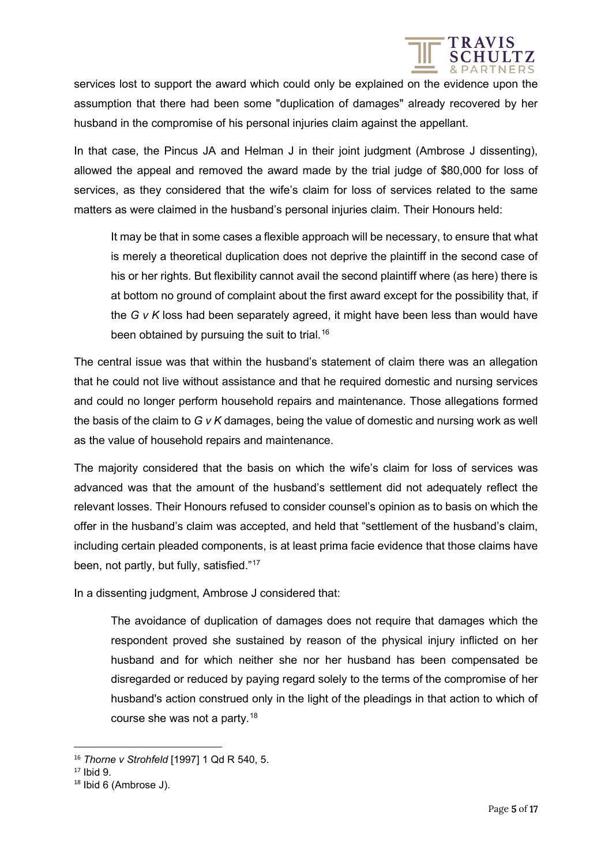

services lost to support the award which could only be explained on the evidence upon the assumption that there had been some "duplication of damages" already recovered by her husband in the compromise of his personal injuries claim against the appellant.

In that case, the Pincus JA and Helman J in their joint judgment (Ambrose J dissenting), allowed the appeal and removed the award made by the trial judge of \$80,000 for loss of services, as they considered that the wife's claim for loss of services related to the same matters as were claimed in the husband's personal injuries claim. Their Honours held:

It may be that in some cases a flexible approach will be necessary, to ensure that what is merely a theoretical duplication does not deprive the plaintiff in the second case of his or her rights. But flexibility cannot avail the second plaintiff where (as here) there is at bottom no ground of complaint about the first award except for the possibility that, if the *G v K* loss had been separately agreed, it might have been less than would have been obtained by pursuing the suit to trial.<sup>[16](#page-4-0)</sup>

The central issue was that within the husband's statement of claim there was an allegation that he could not live without assistance and that he required domestic and nursing services and could no longer perform household repairs and maintenance. Those allegations formed the basis of the claim to *G v K* damages, being the value of domestic and nursing work as well as the value of household repairs and maintenance.

The majority considered that the basis on which the wife's claim for loss of services was advanced was that the amount of the husband's settlement did not adequately reflect the relevant losses. Their Honours refused to consider counsel's opinion as to basis on which the offer in the husband's claim was accepted, and held that "settlement of the husband's claim, including certain pleaded components, is at least prima facie evidence that those claims have been, not partly, but fully, satisfied."[17](#page-4-1)

In a dissenting judgment, Ambrose J considered that:

The avoidance of duplication of damages does not require that damages which the respondent proved she sustained by reason of the physical injury inflicted on her husband and for which neither she nor her husband has been compensated be disregarded or reduced by paying regard solely to the terms of the compromise of her husband's action construed only in the light of the pleadings in that action to which of course she was not a party.[18](#page-4-2)

<span id="page-4-0"></span><sup>16</sup> *Thorne v Strohfeld* [1997] 1 Qd R 540, 5.

<span id="page-4-1"></span><sup>17</sup> Ibid 9.

<span id="page-4-2"></span><sup>18</sup> Ibid 6 (Ambrose J).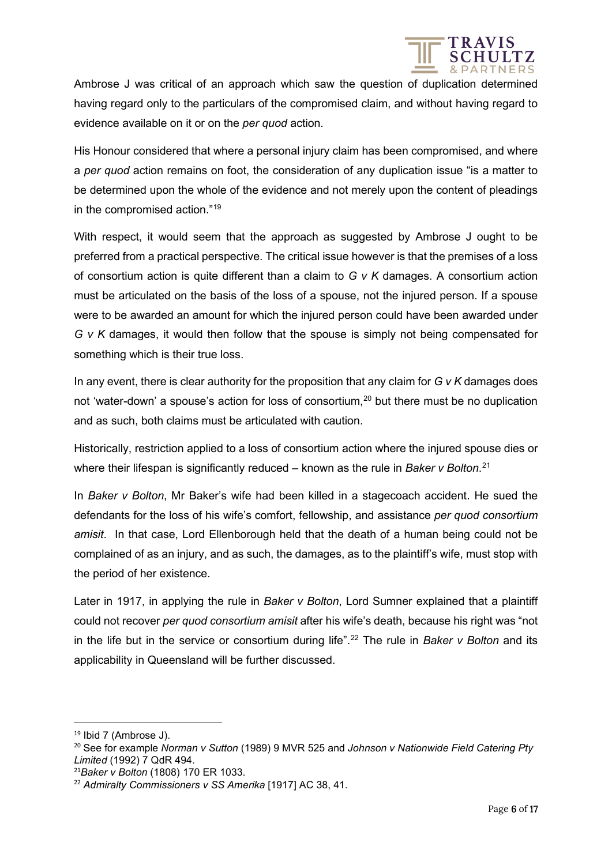

Ambrose J was critical of an approach which saw the question of duplication determined having regard only to the particulars of the compromised claim, and without having regard to evidence available on it or on the *per quod* action.

His Honour considered that where a personal injury claim has been compromised, and where a *per quod* action remains on foot, the consideration of any duplication issue "is a matter to be determined upon the whole of the evidence and not merely upon the content of pleadings in the compromised action."[19](#page-5-0)

With respect, it would seem that the approach as suggested by Ambrose J ought to be preferred from a practical perspective. The critical issue however is that the premises of a loss of consortium action is quite different than a claim to *G v K* damages. A consortium action must be articulated on the basis of the loss of a spouse, not the injured person. If a spouse were to be awarded an amount for which the injured person could have been awarded under *G v K* damages, it would then follow that the spouse is simply not being compensated for something which is their true loss.

In any event, there is clear authority for the proposition that any claim for *G v K* damages does not 'water-down' a spouse's action for loss of consortium,<sup>[20](#page-5-1)</sup> but there must be no duplication and as such, both claims must be articulated with caution.

Historically, restriction applied to a loss of consortium action where the injured spouse dies or where their lifespan is significantly reduced – known as the rule in *Baker v Bolton*. [21](#page-5-2)

In *Baker v Bolton*, Mr Baker's wife had been killed in a stagecoach accident. He sued the defendants for the loss of his wife's comfort, fellowship, and assistance *per quod consortium amisit*. In that case, Lord Ellenborough held that the death of a human being could not be complained of as an injury, and as such, the damages, as to the plaintiff's wife, must stop with the period of her existence.

Later in 1917, in applying the rule in *Baker v Bolton*, Lord Sumner explained that a plaintiff could not recover *per quod consortium amisit* after his wife's death, because his right was "not in the life but in the service or consortium during life".<sup>[22](#page-5-3)</sup> The rule in *Baker v Bolton* and its applicability in Queensland will be further discussed.

<span id="page-5-0"></span> $19$  Ibid 7 (Ambrose J).

<span id="page-5-1"></span><sup>20</sup> See for example *Norman v Sutton* (1989) 9 MVR 525 and *Johnson v Nationwide Field Catering Pty Limited* (1992) 7 QdR 494.

<span id="page-5-2"></span><sup>21</sup>*Baker v Bolton* (1808) 170 ER 1033.

<span id="page-5-3"></span><sup>22</sup> *Admiralty Commissioners v SS Amerika* [1917] AC 38, 41.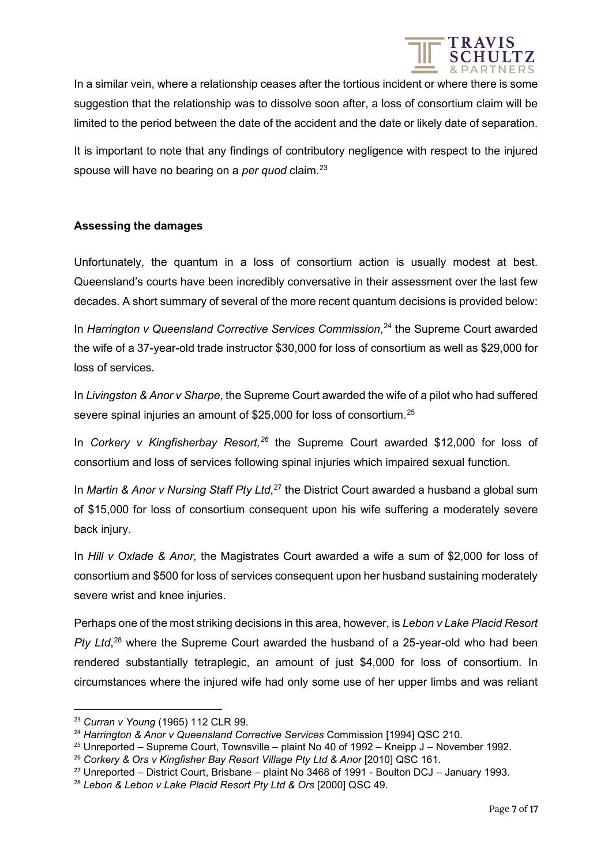

In a similar vein, where a relationship ceases after the tortious incident or where there is some suggestion that the relationship was to dissolve soon after, a loss of consortium claim will be limited to the period between the date of the accident and the date or likely date of separation.

It is important to note that any findings of contributory negligence with respect to the injured spouse will have no bearing on a *per quod* claim.<sup>[23](#page-6-0)</sup>

### **Assessing the damages**

Unfortunately, the quantum in a loss of consortium action is usually modest at best. Queensland's courts have been incredibly conversative in their assessment over the last few decades. A short summary of several of the more recent quantum decisions is provided below:

In Harrington v Queensland Corrective Services Commission,<sup>[24](#page-6-1)</sup> the Supreme Court awarded the wife of a 37-year-old trade instructor \$30,000 for loss of consortium as well as \$29,000 for loss of services.

In *Livingston & Anor v Sharpe*, the Supreme Court awarded the wife of a pilot who had suffered severe spinal injuries an amount of \$[25](#page-6-2),000 for loss of consortium.<sup>25</sup>

In *Corkery v Kingfisherbay Resort,[26](#page-6-3)* the Supreme Court awarded \$12,000 for loss of consortium and loss of services following spinal injuries which impaired sexual function.

In *Martin & Anor v Nursing Staff Pty Ltd*, [27](#page-6-4) the District Court awarded a husband a global sum of \$15,000 for loss of consortium consequent upon his wife suffering a moderately severe back injury.

In *Hill v Oxlade & Anor*, the Magistrates Court awarded a wife a sum of \$2,000 for loss of consortium and \$500 for loss of services consequent upon her husband sustaining moderately severe wrist and knee injuries.

Perhaps one of the most striking decisions in this area, however, is *Lebon v Lake Placid Resort*  Pty Ltd,<sup>[28](#page-6-5)</sup> where the Supreme Court awarded the husband of a 25-year-old who had been rendered substantially tetraplegic, an amount of just \$4,000 for loss of consortium. In circumstances where the injured wife had only some use of her upper limbs and was reliant

<span id="page-6-0"></span><sup>23</sup> *Curran v Young* (1965) 112 CLR 99.

<span id="page-6-1"></span><sup>24</sup> *Harrington & Anor v Queensland Corrective Services* Commission [1994] QSC 210.

<span id="page-6-2"></span> $25$  Unreported – Supreme Court, Townsville – plaint No 40 of 1992 – Kneipp J – November 1992.

<span id="page-6-3"></span><sup>26</sup> *Corkery & Ors v Kingfisher Bay Resort Village Pty Ltd & Anor* [2010] QSC 161.

<span id="page-6-4"></span><sup>27</sup> Unreported – District Court, Brisbane – plaint No 3468 of 1991 - Boulton DCJ – January 1993.

<span id="page-6-5"></span><sup>28</sup> *Lebon & Lebon v Lake Placid Resort Pty Ltd & Ors* [2000] QSC 49.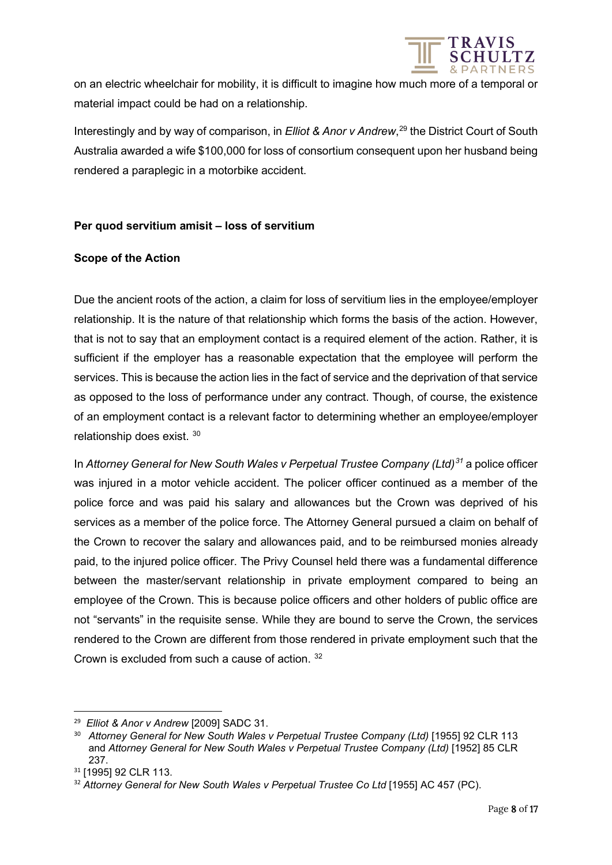

on an electric wheelchair for mobility, it is difficult to imagine how much more of a temporal or material impact could be had on a relationship.

Interestingly and by way of comparison, in *Elliot & Anor v Andrew*, [29](#page-7-0) the District Court of South Australia awarded a wife \$100,000 for loss of consortium consequent upon her husband being rendered a paraplegic in a motorbike accident.

### **Per quod servitium amisit – loss of servitium**

### **Scope of the Action**

Due the ancient roots of the action, a claim for loss of servitium lies in the employee/employer relationship. It is the nature of that relationship which forms the basis of the action. However, that is not to say that an employment contact is a required element of the action. Rather, it is sufficient if the employer has a reasonable expectation that the employee will perform the services. This is because the action lies in the fact of service and the deprivation of that service as opposed to the loss of performance under any contract. Though, of course, the existence of an employment contact is a relevant factor to determining whether an employee/employer relationship does exist. [30](#page-7-1)

In *Attorney General for New South Wales v Perpetual Trustee Company (Ltd)[31](#page-7-2)* a police officer was injured in a motor vehicle accident. The policer officer continued as a member of the police force and was paid his salary and allowances but the Crown was deprived of his services as a member of the police force. The Attorney General pursued a claim on behalf of the Crown to recover the salary and allowances paid, and to be reimbursed monies already paid, to the injured police officer. The Privy Counsel held there was a fundamental difference between the master/servant relationship in private employment compared to being an employee of the Crown. This is because police officers and other holders of public office are not "servants" in the requisite sense. While they are bound to serve the Crown, the services rendered to the Crown are different from those rendered in private employment such that the Crown is excluded from such a cause of action. [32](#page-7-3)

<span id="page-7-0"></span><sup>29</sup> *Elliot & Anor v Andrew* [2009] SADC 31.

<span id="page-7-1"></span><sup>&</sup>lt;sup>30</sup> Attorney General for New South Wales v Perpetual Trustee Company (Ltd) [1955] 92 CLR 113 and Attorney General for New South Wales v Perpetual Trustee Company (Ltd) [1952] 85 CLR 237.

<span id="page-7-2"></span><sup>31 [1995] 92</sup> CLR 113.

<span id="page-7-3"></span><sup>&</sup>lt;sup>32</sup> Attorney General for New South Wales v Perpetual Trustee Co Ltd [1955] AC 457 (PC).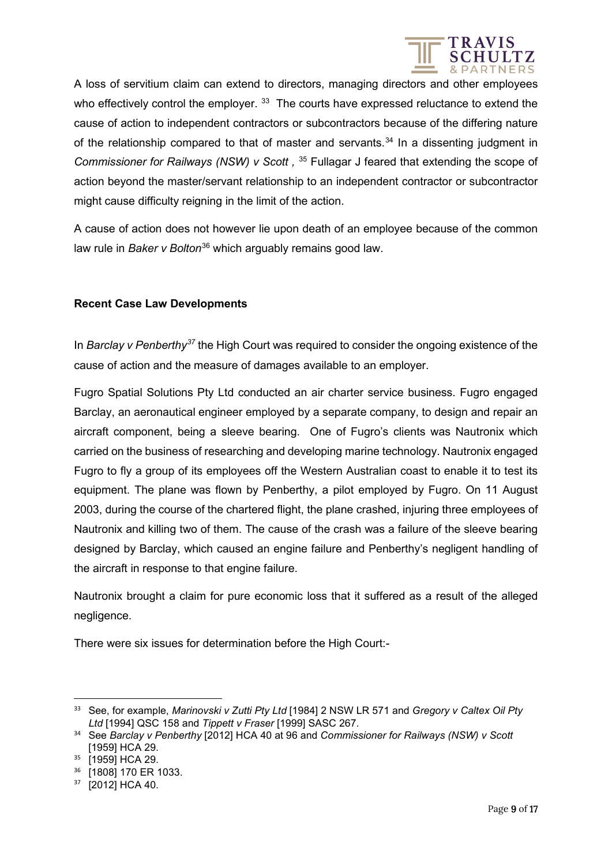

A loss of servitium claim can extend to directors, managing directors and other employees who effectively control the employer. <sup>[33](#page-8-0)</sup> The courts have expressed reluctance to extend the cause of action to independent contractors or subcontractors because of the differing nature of the relationship compared to that of master and servants.<sup>[34](#page-8-1)</sup> In a dissenting judgment in *Commissioner for Railways (NSW) v Scott,* <sup>[35](#page-8-2)</sup> Fullagar J feared that extending the scope of action beyond the master/servant relationship to an independent contractor or subcontractor might cause difficulty reigning in the limit of the action.

A cause of action does not however lie upon death of an employee because of the common law rule in *Baker v Bolton*[36](#page-8-3) which arguably remains good law.

### **Recent Case Law Developments**

In *Barclay v Penberthy[37](#page-8-4)* the High Court was required to consider the ongoing existence of the cause of action and the measure of damages available to an employer.

Fugro Spatial Solutions Pty Ltd conducted an air charter service business. Fugro engaged Barclay, an aeronautical engineer employed by a separate company, to design and repair an aircraft component, being a sleeve bearing. One of Fugro's clients was Nautronix which carried on the business of researching and developing marine technology. Nautronix engaged Fugro to fly a group of its employees off the Western Australian coast to enable it to test its equipment. The plane was flown by Penberthy, a pilot employed by Fugro. On 11 August 2003, during the course of the chartered flight, the plane crashed, injuring three employees of Nautronix and killing two of them. The cause of the crash was a failure of the sleeve bearing designed by Barclay, which caused an engine failure and Penberthy's negligent handling of the aircraft in response to that engine failure.

Nautronix brought a claim for pure economic loss that it suffered as a result of the alleged negligence.

There were six issues for determination before the High Court:-

<span id="page-8-0"></span><sup>33</sup> See, for example, *Marinovski v Zutti Pty Ltd* [1984] 2 NSW LR 571 and *Gregory v Caltex Oil Pty Ltd* [1994] QSC 158 and *Tippett v Fraser* [1999] SASC 267.

<span id="page-8-1"></span><sup>34</sup> See *Barclay v Penberthy* [2012] HCA 40 at 96 and *Commissioner for Railways (NSW) v Scott*  [1959] HCA 29.

<span id="page-8-2"></span><sup>&</sup>lt;sup>35</sup> [1959] HCA 29.

<span id="page-8-3"></span><sup>36</sup> **[1808]** 170 ER 1033.

<span id="page-8-4"></span><sup>37</sup> [2012] HCA 40.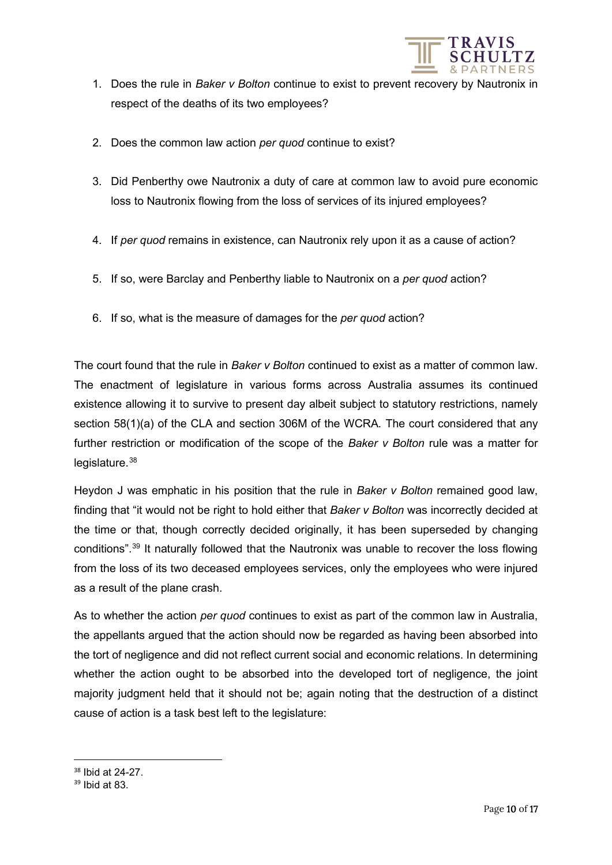

- 1. Does the rule in *Baker v Bolton* continue to exist to prevent recovery by Nautronix in respect of the deaths of its two employees?
- 2. Does the common law action *per quod* continue to exist?
- 3. Did Penberthy owe Nautronix a duty of care at common law to avoid pure economic loss to Nautronix flowing from the loss of services of its injured employees?
- 4. If *per quod* remains in existence, can Nautronix rely upon it as a cause of action?
- 5. If so, were Barclay and Penberthy liable to Nautronix on a *per quod* action?
- 6. If so, what is the measure of damages for the *per quod* action?

The court found that the rule in *Baker v Bolton* continued to exist as a matter of common law. The enactment of legislature in various forms across Australia assumes its continued existence allowing it to survive to present day albeit subject to statutory restrictions, namely section 58(1)(a) of the CLA and section 306M of the WCRA*.* The court considered that any further restriction or modification of the scope of the *Baker v Bolton* rule was a matter for legislature.<sup>[38](#page-9-0)</sup>

Heydon J was emphatic in his position that the rule in *Baker v Bolton* remained good law, finding that "it would not be right to hold either that *Baker v Bolton* was incorrectly decided at the time or that, though correctly decided originally, it has been superseded by changing conditions".[39](#page-9-1) It naturally followed that the Nautronix was unable to recover the loss flowing from the loss of its two deceased employees services, only the employees who were injured as a result of the plane crash.

As to whether the action *per quod* continues to exist as part of the common law in Australia, the appellants argued that the action should now be regarded as having been absorbed into the tort of negligence and did not reflect current social and economic relations. In determining whether the action ought to be absorbed into the developed tort of negligence, the joint majority judgment held that it should not be; again noting that the destruction of a distinct cause of action is a task best left to the legislature:

<span id="page-9-0"></span><sup>38</sup> Ibid at 24-27.

<span id="page-9-1"></span><sup>39</sup> Ibid at 83.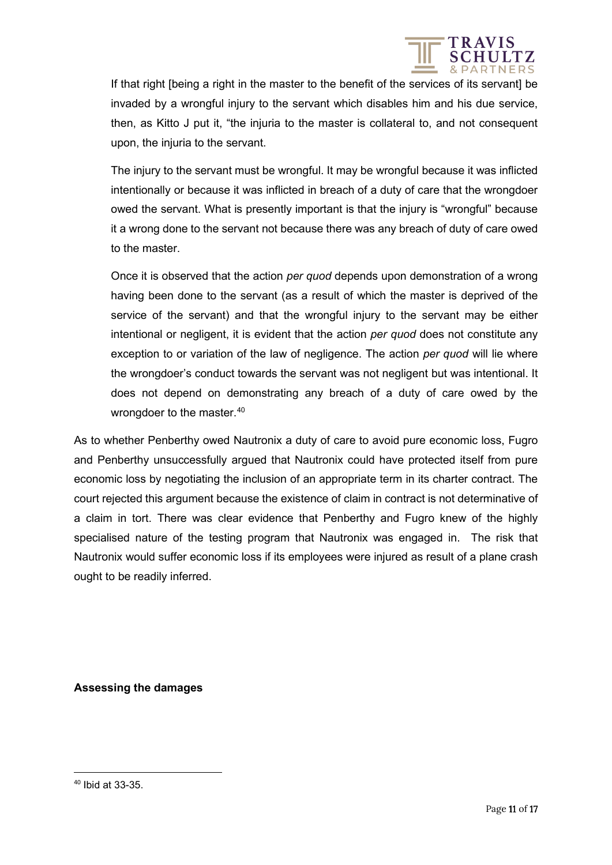

If that right [being a right in the master to the benefit of the services of its servant] be invaded by a wrongful injury to the servant which disables him and his due service, then, as Kitto J put it, "the injuria to the master is collateral to, and not consequent upon, the injuria to the servant.

The injury to the servant must be wrongful. It may be wrongful because it was inflicted intentionally or because it was inflicted in breach of a duty of care that the wrongdoer owed the servant. What is presently important is that the injury is "wrongful" because it a wrong done to the servant not because there was any breach of duty of care owed to the master.

Once it is observed that the action *per quod* depends upon demonstration of a wrong having been done to the servant (as a result of which the master is deprived of the service of the servant) and that the wrongful injury to the servant may be either intentional or negligent, it is evident that the action *per quod* does not constitute any exception to or variation of the law of negligence. The action *per quod* will lie where the wrongdoer's conduct towards the servant was not negligent but was intentional. It does not depend on demonstrating any breach of a duty of care owed by the wrongdoer to the master.<sup>[40](#page-10-0)</sup>

As to whether Penberthy owed Nautronix a duty of care to avoid pure economic loss, Fugro and Penberthy unsuccessfully argued that Nautronix could have protected itself from pure economic loss by negotiating the inclusion of an appropriate term in its charter contract. The court rejected this argument because the existence of claim in contract is not determinative of a claim in tort. There was clear evidence that Penberthy and Fugro knew of the highly specialised nature of the testing program that Nautronix was engaged in. The risk that Nautronix would suffer economic loss if its employees were injured as result of a plane crash ought to be readily inferred.

**Assessing the damages** 

<span id="page-10-0"></span><sup>40</sup> Ibid at 33-35.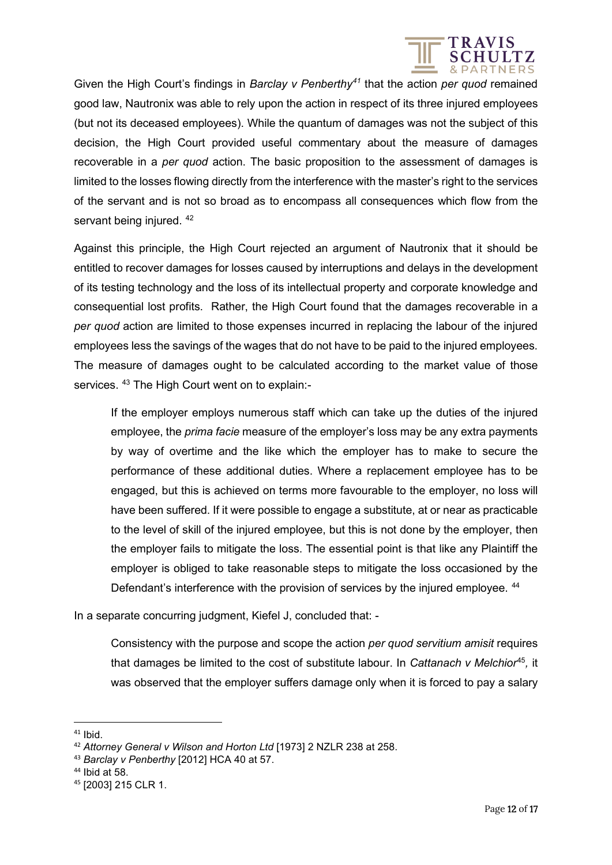

Given the High Court's findings in *Barclay v Penberthy[41](#page-11-0)* that the action *per quod* remained good law, Nautronix was able to rely upon the action in respect of its three injured employees (but not its deceased employees). While the quantum of damages was not the subject of this decision, the High Court provided useful commentary about the measure of damages recoverable in a *per quod* action. The basic proposition to the assessment of damages is limited to the losses flowing directly from the interference with the master's right to the services of the servant and is not so broad as to encompass all consequences which flow from the servant being injured.  $42$ 

Against this principle, the High Court rejected an argument of Nautronix that it should be entitled to recover damages for losses caused by interruptions and delays in the development of its testing technology and the loss of its intellectual property and corporate knowledge and consequential lost profits. Rather, the High Court found that the damages recoverable in a *per quod* action are limited to those expenses incurred in replacing the labour of the injured employees less the savings of the wages that do not have to be paid to the injured employees. The measure of damages ought to be calculated according to the market value of those services. [43](#page-11-2) The High Court went on to explain:-

If the employer employs numerous staff which can take up the duties of the injured employee, the *prima facie* measure of the employer's loss may be any extra payments by way of overtime and the like which the employer has to make to secure the performance of these additional duties. Where a replacement employee has to be engaged, but this is achieved on terms more favourable to the employer, no loss will have been suffered. If it were possible to engage a substitute, at or near as practicable to the level of skill of the injured employee, but this is not done by the employer, then the employer fails to mitigate the loss. The essential point is that like any Plaintiff the employer is obliged to take reasonable steps to mitigate the loss occasioned by the Defendant's interference with the provision of services by the injured employee. <sup>[44](#page-11-3)</sup>

In a separate concurring judgment, Kiefel J, concluded that: -

Consistency with the purpose and scope the action *per quod servitium amisit* requires that damages be limited to the cost of substitute labour. In *Cattanach v Melchior*[45](#page-11-4)*,* it was observed that the employer suffers damage only when it is forced to pay a salary

<span id="page-11-0"></span> $41$  Ibid.

<span id="page-11-1"></span><sup>42</sup> *Attorney General v Wilson and Horton Ltd* [1973] 2 NZLR 238 at 258.

<span id="page-11-2"></span><sup>43</sup> *Barclay v Penberthy* [2012] HCA 40 at 57.

<span id="page-11-3"></span><sup>44</sup> Ibid at 58.

<span id="page-11-4"></span><sup>45</sup> [2003] 215 CLR 1.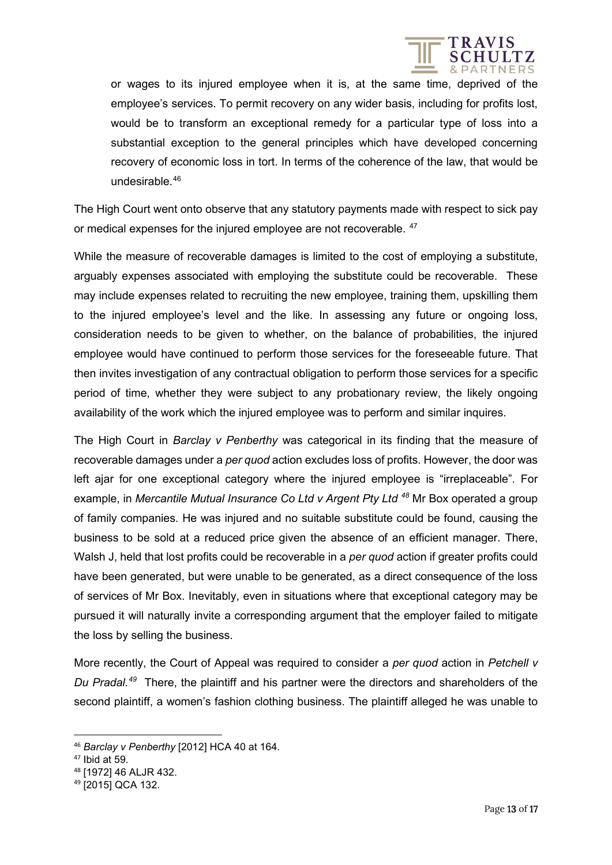

or wages to its injured employee when it is, at the same time, deprived of the employee's services. To permit recovery on any wider basis, including for profits lost, would be to transform an exceptional remedy for a particular type of loss into a substantial exception to the general principles which have developed concerning recovery of economic loss in tort. In terms of the coherence of the law, that would be undesirable.[46](#page-12-0)

The High Court went onto observe that any statutory payments made with respect to sick pay or medical expenses for the injured employee are not recoverable. <sup>[47](#page-12-1)</sup>

While the measure of recoverable damages is limited to the cost of employing a substitute, arguably expenses associated with employing the substitute could be recoverable. These may include expenses related to recruiting the new employee, training them, upskilling them to the injured employee's level and the like. In assessing any future or ongoing loss, consideration needs to be given to whether, on the balance of probabilities, the injured employee would have continued to perform those services for the foreseeable future. That then invites investigation of any contractual obligation to perform those services for a specific period of time, whether they were subject to any probationary review, the likely ongoing availability of the work which the injured employee was to perform and similar inquires.

The High Court in *Barclay v Penberthy* was categorical in its finding that the measure of recoverable damages under a *per quod* action excludes loss of profits. However, the door was left ajar for one exceptional category where the injured employee is "irreplaceable". For example, in *Mercantile Mutual Insurance Co Ltd v Argent Pty Ltd [48](#page-12-2)* Mr Box operated a group of family companies. He was injured and no suitable substitute could be found, causing the business to be sold at a reduced price given the absence of an efficient manager. There, Walsh J, held that lost profits could be recoverable in a *per quod* action if greater profits could have been generated, but were unable to be generated, as a direct consequence of the loss of services of Mr Box. Inevitably, even in situations where that exceptional category may be pursued it will naturally invite a corresponding argument that the employer failed to mitigate the loss by selling the business.

More recently, the Court of Appeal was required to consider a *per quod* action in *Petchell v Du Pradal.[49](#page-12-3)* There, the plaintiff and his partner were the directors and shareholders of the second plaintiff, a women's fashion clothing business. The plaintiff alleged he was unable to

<span id="page-12-0"></span><sup>46</sup> *Barclay v Penberthy* [2012] HCA 40 at 164.

 $47$  Ibid at 59.

<span id="page-12-2"></span><span id="page-12-1"></span><sup>48</sup> [1972] 46 ALJR 432.

<span id="page-12-3"></span><sup>49</sup> [2015] QCA 132.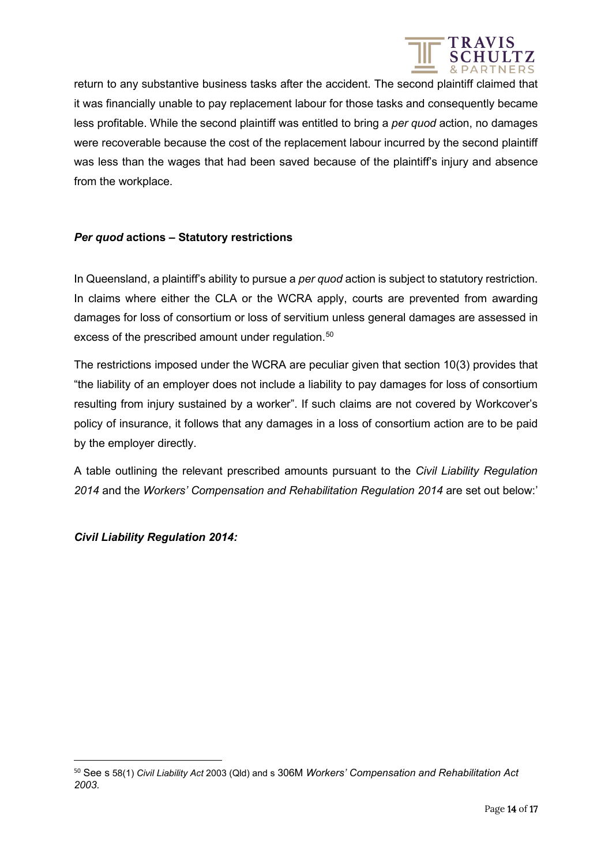

return to any substantive business tasks after the accident. The second plaintiff claimed that it was financially unable to pay replacement labour for those tasks and consequently became less profitable. While the second plaintiff was entitled to bring a *per quod* action, no damages were recoverable because the cost of the replacement labour incurred by the second plaintiff was less than the wages that had been saved because of the plaintiff's injury and absence from the workplace.

### *Per quod* **actions – Statutory restrictions**

In Queensland, a plaintiff's ability to pursue a *per quod* action is subject to statutory restriction. In claims where either the CLA or the WCRA apply, courts are prevented from awarding damages for loss of consortium or loss of servitium unless general damages are assessed in excess of the prescribed amount under regulation.<sup>[50](#page-13-0)</sup>

The restrictions imposed under the WCRA are peculiar given that section 10(3) provides that "the liability of an employer does not include a liability to pay damages for loss of consortium resulting from injury sustained by a worker". If such claims are not covered by Workcover's policy of insurance, it follows that any damages in a loss of consortium action are to be paid by the employer directly.

A table outlining the relevant prescribed amounts pursuant to the *Civil Liability Regulation 2014* and the *Workers' Compensation and Rehabilitation Regulation 2014* are set out below:'

*Civil Liability Regulation 2014:*

<span id="page-13-0"></span><sup>50</sup> See s 58(1) *Civil Liability Act* 2003 (Qld) and s 306M *Workers' Compensation and Rehabilitation Act 2003.*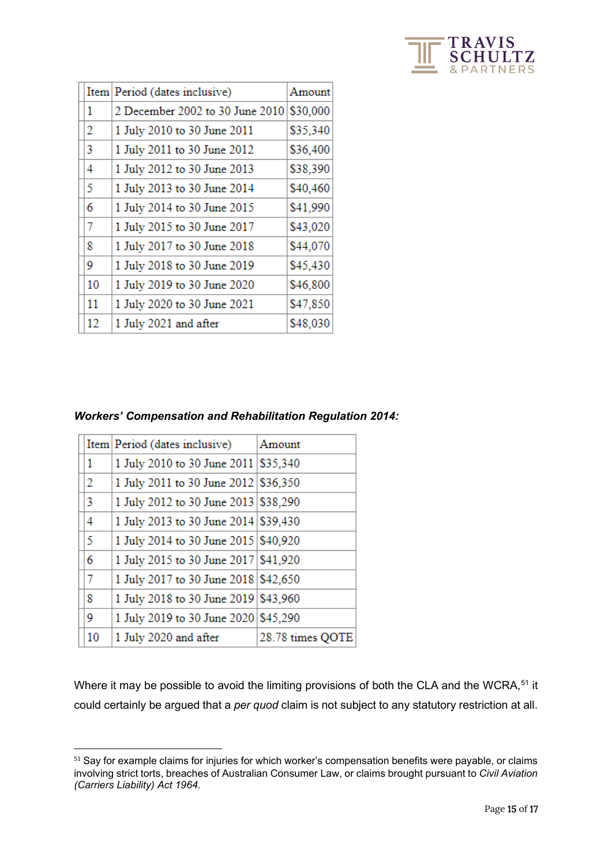

|    | Item   Period (dates inclusive) | Amount   |
|----|---------------------------------|----------|
| 1  | 2 December 2002 to 30 June 2010 | \$30,000 |
| 2  | 1 July 2010 to 30 June 2011     | \$35,340 |
| 3  | 1 July 2011 to 30 June 2012     | \$36,400 |
| 4  | 1 July 2012 to 30 June 2013     | \$38,390 |
| 5  | 1 July 2013 to 30 June 2014     | \$40,460 |
| 6  | 1 July 2014 to 30 June 2015     | \$41,990 |
| 7  | 1 July 2015 to 30 June 2017     | \$43,020 |
| 8  | 1 July 2017 to 30 June 2018     | \$44,070 |
| 9  | 1 July 2018 to 30 June 2019     | \$45,430 |
| 10 | 1 July 2019 to 30 June 2020     | \$46,800 |
| 11 | 1 July 2020 to 30 June 2021     | \$47,850 |
| 12 | 1 July 2021 and after           | \$48,030 |

### *Workers' Compensation and Rehabilitation Regulation 2014:*

|              | Item Period (dates inclusive)         | Amount           |
|--------------|---------------------------------------|------------------|
| $\mathbf{1}$ | 1 July 2010 to 30 June 2011 \\$35,340 |                  |
| 2            | 1 July 2011 to 30 June 2012 \$36,350  |                  |
| 3            | 1 July 2012 to 30 June 2013 \$38,290  |                  |
| 4            | 1 July 2013 to 30 June 2014 \$39,430  |                  |
| 5            | 1 July 2014 to 30 June 2015 \$40,920  |                  |
| 6            | 1 July 2015 to 30 June 2017 \$41,920  |                  |
| 7            | 1 July 2017 to 30 June 2018 \$42,650  |                  |
| 8            | 1 July 2018 to 30 June 2019 \$43,960  |                  |
| 9            | 1 July 2019 to 30 June 2020 \$45,290  |                  |
| 10           | 1 July 2020 and after                 | 28.78 times QOTE |

Where it may be possible to avoid the limiting provisions of both the CLA and the WCRA,<sup>[51](#page-14-0)</sup> it could certainly be argued that a *per quod* claim is not subject to any statutory restriction at all.

<span id="page-14-0"></span><sup>&</sup>lt;sup>51</sup> Say for example claims for injuries for which worker's compensation benefits were payable, or claims involving strict torts, breaches of Australian Consumer Law, or claims brought pursuant to *Civil Aviation (Carriers Liability) Act 1964.*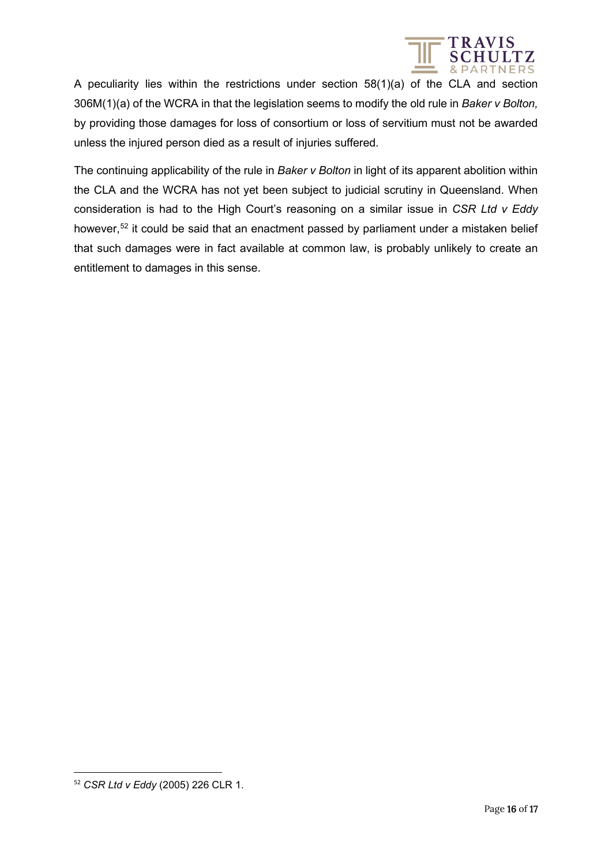

A peculiarity lies within the restrictions under section 58(1)(a) of the CLA and section 306M(1)(a) of the WCRA in that the legislation seems to modify the old rule in *Baker v Bolton,*  by providing those damages for loss of consortium or loss of servitium must not be awarded unless the injured person died as a result of injuries suffered.

The continuing applicability of the rule in *Baker v Bolton* in light of its apparent abolition within the CLA and the WCRA has not yet been subject to judicial scrutiny in Queensland. When consideration is had to the High Court's reasoning on a similar issue in *CSR Ltd v Eddy*  however,<sup>[52](#page-15-0)</sup> it could be said that an enactment passed by parliament under a mistaken belief that such damages were in fact available at common law, is probably unlikely to create an entitlement to damages in this sense.

<span id="page-15-0"></span><sup>52</sup> *CSR Ltd v Eddy* (2005) 226 CLR 1.